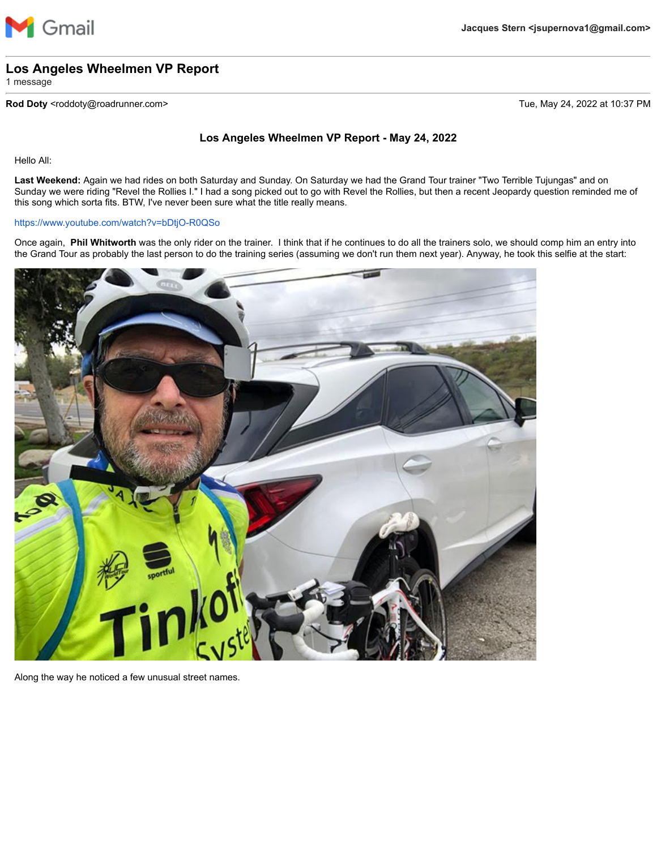

## **Los Angeles Wheelmen VP Report**

1 message

## **Rod Doty** <roddoty@roadrunner.com> Tue, May 24, 2022 at 10:37 PM

## **Los Angeles Wheelmen VP Report - May 24, 2022**

Hello All:

**Last Weekend:** Again we had rides on both Saturday and Sunday. On Saturday we had the Grand Tour trainer "Two Terrible Tujungas" and on Sunday we were riding "Revel the Rollies I." I had a song picked out to go with Revel the Rollies, but then a recent Jeopardy question reminded me of this song which sorta fits. BTW, I've never been sure what the title really means.

## <https://www.youtube.com/watch?v=bDtjO-R0QSo>

Once again, **Phil Whitworth** was the only rider on the trainer. I think that if he continues to do all the trainers solo, we should comp him an entry into the Grand Tour as probably the last person to do the training series (assuming we don't run them next year). Anyway, he took this selfie at the start:



Along the way he noticed a few unusual street names.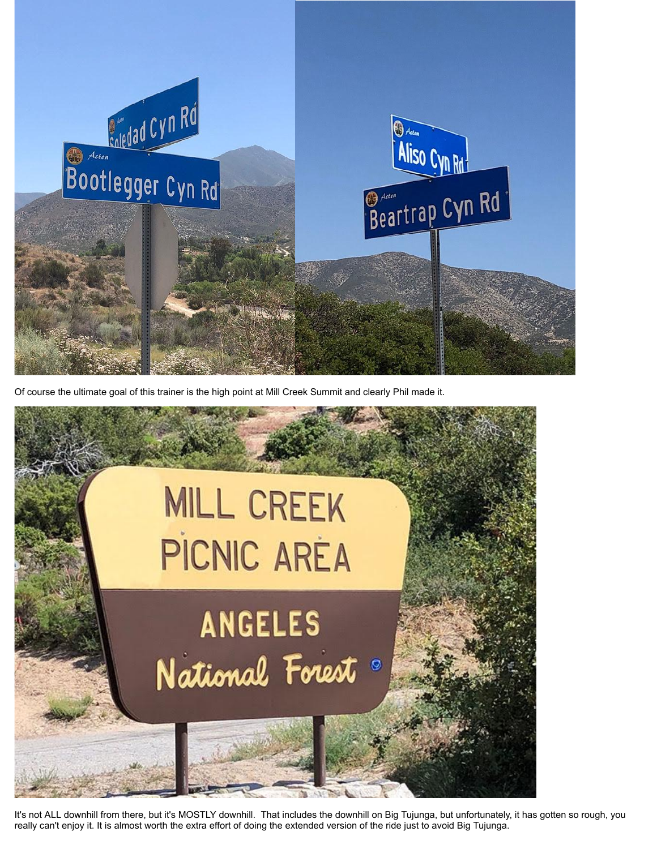

Of course the ultimate goal of this trainer is the high point at Mill Creek Summit and clearly Phil made it.



It's not ALL downhill from there, but it's MOSTLY downhill. That includes the downhill on Big Tujunga, but unfortunately, it has gotten so rough, you really can't enjoy it. It is almost worth the extra effort of doing the extended version of the ride just to avoid Big Tujunga.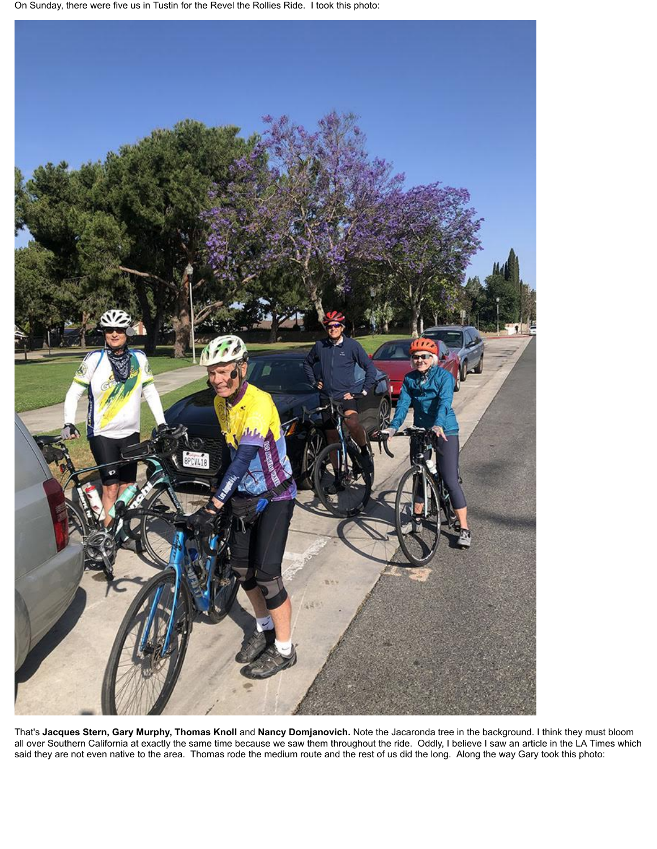On Sunday, there were five us in Tustin for the Revel the Rollies Ride. I took this photo:



That's **Jacques Stern, Gary Murphy, Thomas Knoll** and **Nancy Domjanovich.** Note the Jacaronda tree in the background. I think they must bloom all over Southern California at exactly the same time because we saw them throughout the ride. Oddly, I believe I saw an article in the LA Times which said they are not even native to the area. Thomas rode the medium route and the rest of us did the long. Along the way Gary took this photo: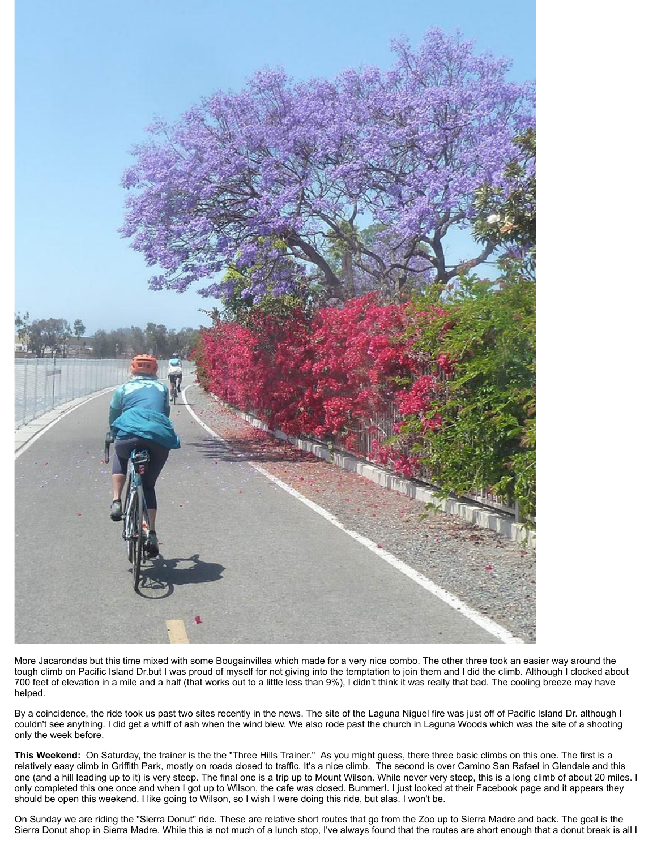

More Jacarondas but this time mixed with some Bougainvillea which made for a very nice combo. The other three took an easier way around the tough climb on Pacific Island Dr.but I was proud of myself for not giving into the temptation to join them and I did the climb. Although I clocked about 700 feet of elevation in a mile and a half (that works out to a little less than 9%), I didn't think it was really that bad. The cooling breeze may have helped.

By a coincidence, the ride took us past two sites recently in the news. The site of the Laguna Niguel fire was just off of Pacific Island Dr. although I couldn't see anything. I did get a whiff of ash when the wind blew. We also rode past the church in Laguna Woods which was the site of a shooting only the week before.

**This Weekend:** On Saturday, the trainer is the the "Three Hills Trainer." As you might guess, there three basic climbs on this one. The first is a relatively easy climb in Griffith Park, mostly on roads closed to traffic. It's a nice climb. The second is over Camino San Rafael in Glendale and this one (and a hill leading up to it) is very steep. The final one is a trip up to Mount Wilson. While never very steep, this is a long climb of about 20 miles. I only completed this one once and when I got up to Wilson, the cafe was closed. Bummer!. I just looked at their Facebook page and it appears they should be open this weekend. I like going to Wilson, so I wish I were doing this ride, but alas. I won't be.

On Sunday we are riding the "Sierra Donut" ride. These are relative short routes that go from the Zoo up to Sierra Madre and back. The goal is the Sierra Donut shop in Sierra Madre. While this is not much of a lunch stop, I've always found that the routes are short enough that a donut break is all I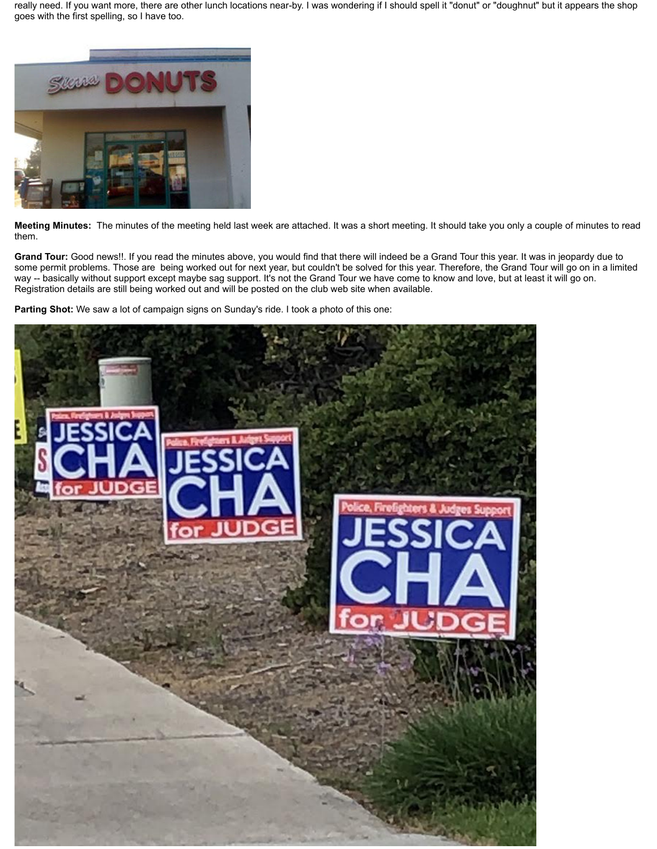really need. If you want more, there are other lunch locations near-by. I was wondering if I should spell it "donut" or "doughnut" but it appears the shop goes with the first spelling, so I have too.



**Meeting Minutes:** The minutes of the meeting held last week are attached. It was a short meeting. It should take you only a couple of minutes to read them.

**Grand Tour:** Good news!!. If you read the minutes above, you would find that there will indeed be a Grand Tour this year. It was in jeopardy due to some permit problems. Those are being worked out for next year, but couldn't be solved for this year. Therefore, the Grand Tour will go on in a limited way -- basically without support except maybe sag support. It's not the Grand Tour we have come to know and love, but at least it will go on. Registration details are still being worked out and will be posted on the club web site when available.

**Parting Shot:** We saw a lot of campaign signs on Sunday's ride. I took a photo of this one: